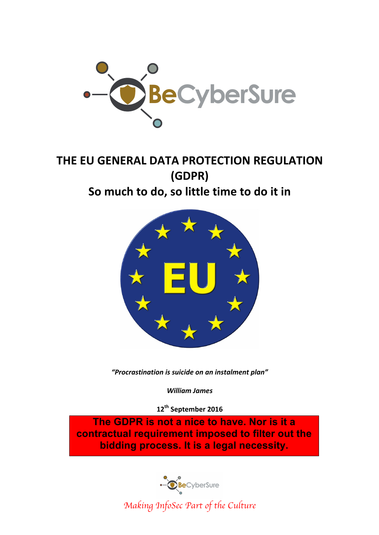

# **THE EU GENERAL DATA PROTECTION REGULATION (GDPR)** So much to do, so little time to do it in



*"Procrastination is suicide on an instalment plan"*

*William James*

**12th September 2016**

**The GDPR is not a nice to have. Nor is it a contractual requirement imposed to filter out the bidding process. It is a legal necessity.**

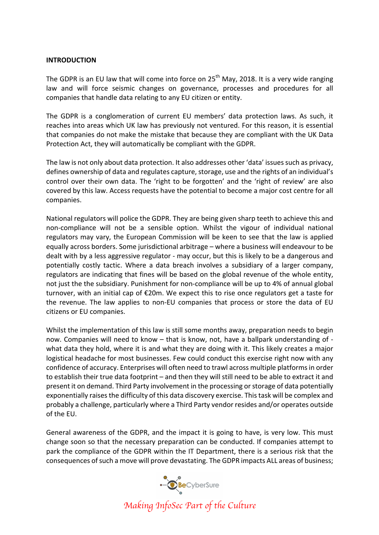### **INTRODUCTION**

The GDPR is an EU law that will come into force on  $25<sup>th</sup>$  May, 2018. It is a very wide ranging law and will force seismic changes on governance, processes and procedures for all companies that handle data relating to any EU citizen or entity.

The GDPR is a conglomeration of current EU members' data protection laws. As such, it reaches into areas which UK law has previously not ventured. For this reason, it is essential that companies do not make the mistake that because they are compliant with the UK Data Protection Act, they will automatically be compliant with the GDPR.

The law is not only about data protection. It also addresses other 'data' issues such as privacy, defines ownership of data and regulates capture, storage, use and the rights of an individual's control over their own data. The 'right to be forgotten' and the 'right of review' are also covered by this law. Access requests have the potential to become a major cost centre for all companies.

National regulators will police the GDPR. They are being given sharp teeth to achieve this and non-compliance will not be a sensible option. Whilst the vigour of individual national regulators may vary, the European Commission will be keen to see that the law is applied equally across borders. Some jurisdictional arbitrage - where a business will endeavour to be dealt with by a less aggressive regulator - may occur, but this is likely to be a dangerous and potentially costly tactic. Where a data breach involves a subsidiary of a larger company, regulators are indicating that fines will be based on the global revenue of the whole entity, not just the the subsidiary. Punishment for non-compliance will be up to 4% of annual global turnover, with an initial cap of  $E20m$ . We expect this to rise once regulators get a taste for the revenue. The law applies to non-EU companies that process or store the data of EU citizens or EU companies.

Whilst the implementation of this law is still some months away, preparation needs to begin now. Companies will need to know – that is know, not, have a ballpark understanding of what data they hold, where it is and what they are doing with it. This likely creates a major logistical headache for most businesses. Few could conduct this exercise right now with any confidence of accuracy. Enterprises will often need to trawl across multiple platforms in order to establish their true data footprint – and then they will still need to be able to extract it and present it on demand. Third Party involvement in the processing or storage of data potentially exponentially raises the difficulty of this data discovery exercise. This task will be complex and probably a challenge, particularly where a Third Party vendor resides and/or operates outside of the EU.

General awareness of the GDPR, and the impact it is going to have, is very low. This must change soon so that the necessary preparation can be conducted. If companies attempt to park the compliance of the GDPR within the IT Department, there is a serious risk that the consequences of such a move will prove devastating. The GDPR impacts ALL areas of business;

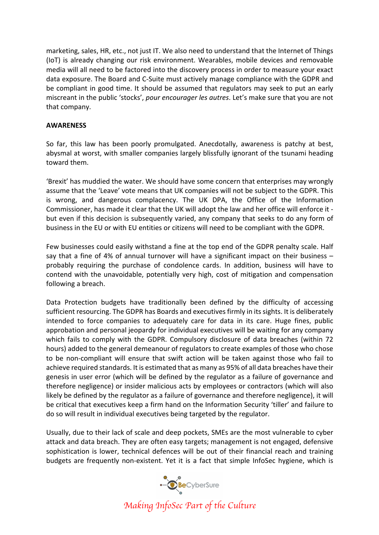marketing, sales, HR, etc., not just IT. We also need to understand that the Internet of Things (IoT) is already changing our risk environment. Wearables, mobile devices and removable media will all need to be factored into the discovery process in order to measure your exact data exposure. The Board and C-Suite must actively manage compliance with the GDPR and be compliant in good time. It should be assumed that regulators may seek to put an early miscreant in the public 'stocks', *pour encourager les autres*. Let's make sure that you are not that company.

## **AWARENESS**

So far, this law has been poorly promulgated. Anecdotally, awareness is patchy at best, abysmal at worst, with smaller companies largely blissfully ignorant of the tsunami heading toward them.

'Brexit' has muddied the water. We should have some concern that enterprises may wrongly assume that the 'Leave' vote means that UK companies will not be subject to the GDPR. This is wrong, and dangerous complacency. The UK DPA, the Office of the Information Commissioner, has made it clear that the UK will adopt the law and her office will enforce it but even if this decision is subsequently varied, any company that seeks to do any form of business in the EU or with EU entities or citizens will need to be compliant with the GDPR.

Few businesses could easily withstand a fine at the top end of the GDPR penalty scale. Half say that a fine of 4% of annual turnover will have a significant impact on their business  $$ probably requiring the purchase of condolence cards. In addition, business will have to contend with the unavoidable, potentially very high, cost of mitigation and compensation following a breach.

Data Protection budgets have traditionally been defined by the difficulty of accessing sufficient resourcing. The GDPR has Boards and executives firmly in its sights. It is deliberately intended to force companies to adequately care for data in its care. Huge fines, public approbation and personal jeopardy for individual executives will be waiting for any company which fails to comply with the GDPR. Compulsory disclosure of data breaches (within 72 hours) added to the general demeanour of regulators to create examples of those who chose to be non-compliant will ensure that swift action will be taken against those who fail to achieve required standards. It is estimated that as many as 95% of all data breaches have their genesis in user error (which will be defined by the regulator as a failure of governance and therefore negligence) or insider malicious acts by employees or contractors (which will also likely be defined by the regulator as a failure of governance and therefore negligence), it will be critical that executives keep a firm hand on the Information Security 'tiller' and failure to do so will result in individual executives being targeted by the regulator.

Usually, due to their lack of scale and deep pockets, SMEs are the most vulnerable to cyber attack and data breach. They are often easy targets; management is not engaged, defensive sophistication is lower, technical defences will be out of their financial reach and training budgets are frequently non-existent. Yet it is a fact that simple InfoSec hygiene, which is

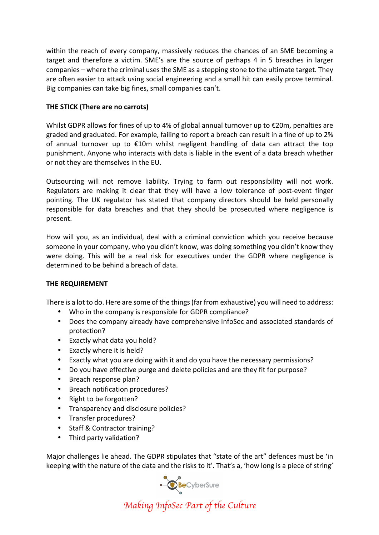within the reach of every company, massively reduces the chances of an SME becoming a target and therefore a victim. SME's are the source of perhaps 4 in 5 breaches in larger companies – where the criminal uses the SME as a stepping stone to the ultimate target. They are often easier to attack using social engineering and a small hit can easily prove terminal. Big companies can take big fines, small companies can't.

# **THE STICK (There are no carrots)**

Whilst GDPR allows for fines of up to 4% of global annual turnover up to  $\epsilon$ 20m, penalties are graded and graduated. For example, failing to report a breach can result in a fine of up to 2% of annual turnover up to  $£10m$  whilst negligent handling of data can attract the top punishment. Anyone who interacts with data is liable in the event of a data breach whether or not they are themselves in the EU.

Outsourcing will not remove liability. Trying to farm out responsibility will not work. Regulators are making it clear that they will have a low tolerance of post-event finger pointing. The UK regulator has stated that company directors should be held personally responsible for data breaches and that they should be prosecuted where negligence is present.

How will you, as an individual, deal with a criminal conviction which you receive because someone in your company, who you didn't know, was doing something you didn't know they were doing. This will be a real risk for executives under the GDPR where negligence is determined to be behind a breach of data.

## **THE REQUIREMENT**

There is a lot to do. Here are some of the things (far from exhaustive) you will need to address:

- Who in the company is responsible for GDPR compliance?
- Does the company already have comprehensive InfoSec and associated standards of protection?
- Exactly what data you hold?
- Exactly where it is held?
- Exactly what you are doing with it and do you have the necessary permissions?
- Do you have effective purge and delete policies and are they fit for purpose?
- Breach response plan?
- Breach notification procedures?
- Right to be forgotten?
- Transparency and disclosure policies?
- Transfer procedures?
- Staff & Contractor training?
- Third party validation?

Major challenges lie ahead. The GDPR stipulates that "state of the art" defences must be 'in keeping with the nature of the data and the risks to it'. That's a, 'how long is a piece of string'

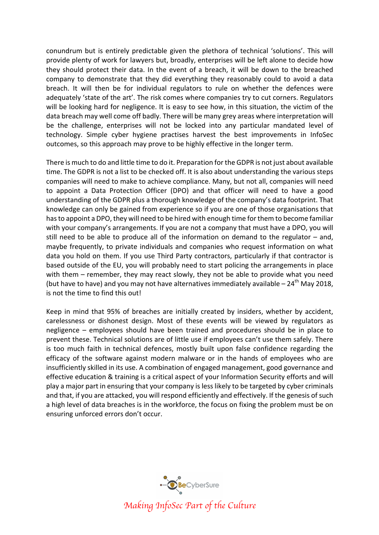conundrum but is entirely predictable given the plethora of technical 'solutions'. This will provide plenty of work for lawyers but, broadly, enterprises will be left alone to decide how they should protect their data. In the event of a breach, it will be down to the breached company to demonstrate that they did everything they reasonably could to avoid a data breach. It will then be for individual regulators to rule on whether the defences were adequately 'state of the art'. The risk comes where companies try to cut corners. Regulators will be looking hard for negligence. It is easy to see how, in this situation, the victim of the data breach may well come off badly. There will be many grey areas where interpretation will be the challenge, enterprises will not be locked into any particular mandated level of technology. Simple cyber hygiene practises harvest the best improvements in InfoSec outcomes, so this approach may prove to be highly effective in the longer term.

There is much to do and little time to do it. Preparation for the GDPR is not just about available time. The GDPR is not a list to be checked off. It is also about understanding the various steps companies will need to make to achieve compliance. Many, but not all, companies will need to appoint a Data Protection Officer (DPO) and that officer will need to have a good understanding of the GDPR plus a thorough knowledge of the company's data footprint. That knowledge can only be gained from experience so if you are one of those organisations that has to appoint a DPO, they will need to be hired with enough time for them to become familiar with your company's arrangements. If you are not a company that must have a DPO, you will still need to be able to produce all of the information on demand to the regulator  $-$  and, maybe frequently, to private individuals and companies who request information on what data you hold on them. If you use Third Party contractors, particularly if that contractor is based outside of the EU, you will probably need to start policing the arrangements in place with them  $-$  remember, they may react slowly, they not be able to provide what you need (but have to have) and you may not have alternatives immediately available  $- 24$ <sup>th</sup> May 2018, is not the time to find this out!

Keep in mind that 95% of breaches are initially created by insiders, whether by accident, carelessness or dishonest design. Most of these events will be viewed by regulators as negligence – employees should have been trained and procedures should be in place to prevent these. Technical solutions are of little use if employees can't use them safely. There is too much faith in technical defences, mostly built upon false confidence regarding the efficacy of the software against modern malware or in the hands of employees who are insufficiently skilled in its use. A combination of engaged management, good governance and effective education & training is a critical aspect of your Information Security efforts and will play a major part in ensuring that your company is less likely to be targeted by cyber criminals and that, if you are attacked, you will respond efficiently and effectively. If the genesis of such a high level of data breaches is in the workforce, the focus on fixing the problem must be on ensuring unforced errors don't occur.